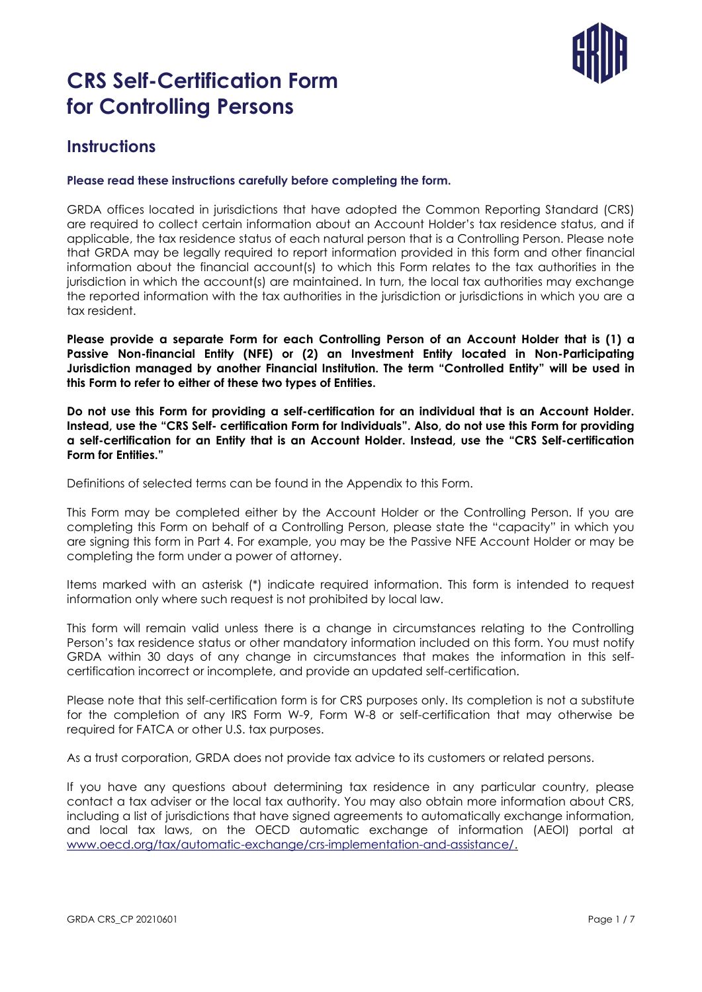

### **Instructions**

#### **Please read these instructions carefully before completing the form.**

GRDA offices located in jurisdictions that have adopted the Common Reporting Standard (CRS) are required to collect certain information about an Account Holder's tax residence status, and if applicable, the tax residence status of each natural person that is a Controlling Person. Please note that GRDA may be legally required to report information provided in this form and other financial information about the financial account(s) to which this Form relates to the tax authorities in the jurisdiction in which the account(s) are maintained. In turn, the local tax authorities may exchange the reported information with the tax authorities in the jurisdiction or jurisdictions in which you are a tax resident.

**Please provide a separate Form for each Controlling Person of an Account Holder that is (1) a Passive Non-financial Entity (NFE) or (2) an Investment Entity located in Non-Participating Jurisdiction managed by another Financial Institution. The term "Controlled Entity" will be used in this Form to refer to either of these two types of Entities.**

**Do not use this Form for providing a self-certification for an individual that is an Account Holder. Instead, use the "CRS Self- certification Form for Individuals". Also, do not use this Form for providing a self-certification for an Entity that is an Account Holder. Instead, use the "CRS Self-certification Form for Entities."**

Definitions of selected terms can be found in the Appendix to this Form.

This Form may be completed either by the Account Holder or the Controlling Person. If you are completing this Form on behalf of a Controlling Person, please state the "capacity" in which you are signing this form in Part 4. For example, you may be the Passive NFE Account Holder or may be completing the form under a power of attorney.

Items marked with an asterisk (\*) indicate required information. This form is intended to request information only where such request is not prohibited by local law.

This form will remain valid unless there is a change in circumstances relating to the Controlling Person's tax residence status or other mandatory information included on this form. You must notify GRDA within 30 days of any change in circumstances that makes the information in this selfcertification incorrect or incomplete, and provide an updated self-certification.

Please note that this self-certification form is for CRS purposes only. Its completion is not a substitute for the completion of any IRS Form W-9, Form W-8 or self-certification that may otherwise be required for FATCA or other U.S. tax purposes.

As a trust corporation, GRDA does not provide tax advice to its customers or related persons.

If you have any questions about determining tax residence in any particular country, please contact a tax adviser or the local tax authority. You may also obtain more information about CRS, including a list of jurisdictions that have signed agreements to automatically exchange information, and local tax laws, on the OECD automatic exchange of information (AEOI) portal at  [www.oecd.org/tax/automatic-exchange/crs-implementation-and-assistance/](http://www.oecd.org/tax/automatic-exchange/crs-implementation-and-assistance/).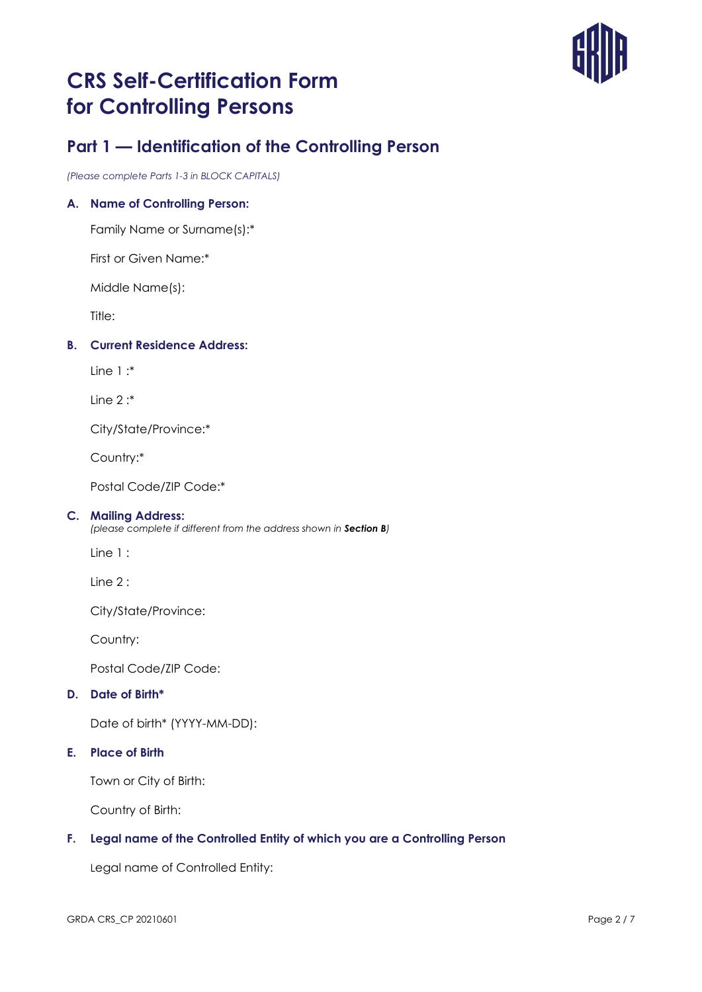### **Part 1 — Identification of the Controlling Person**

*(Please complete Parts 1-3 in BLOCK CAPITALS)*

### **A. Name of Controlling Person:**

Family Name or Surname(s):\*

First or Given Name:\*

Middle Name(s):

Title:

### **B. Current Residence Address:**

 $Line 1$   $*$ 

Line 2 :\*

City/State/Province:\*

Country:\*

Postal Code/ZIP Code:\*

#### **C. Mailing Address:**

*(please complete if different from the address shown in Section B)*

Line 1 :

Line 2 :

City/State/Province:

Country:

Postal Code/ZIP Code:

#### **D. Date of Birth\***

Date of birth\* (YYYY-MM-DD):

#### **E. Place of Birth**

Town or City of Birth:

Country of Birth:

#### **F. Legal name of the Controlled Entity of which you are a Controlling Person**

Legal name of Controlled Entity: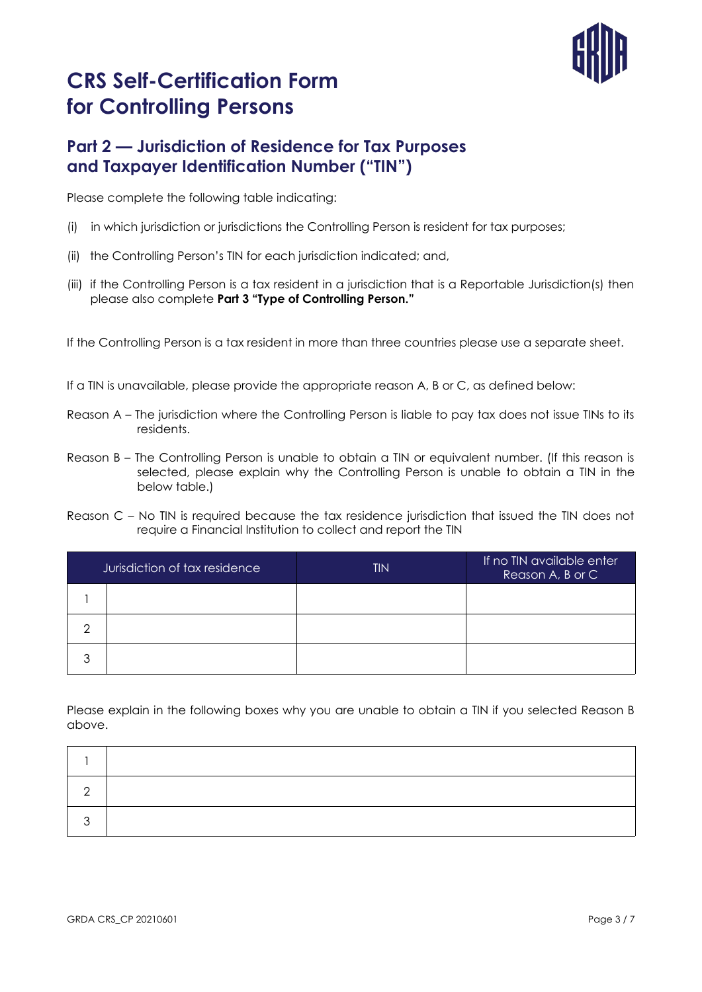

### **Part 2 — Jurisdiction of Residence for Tax Purposes and Taxpayer Identification Number ("TIN")**

Please complete the following table indicating:

- (i) in which jurisdiction or jurisdictions the Controlling Person is resident for tax purposes;
- (ii) the Controlling Person's TIN for each jurisdiction indicated; and,
- (iii) if the Controlling Person is a tax resident in a jurisdiction that is a Reportable Jurisdiction(s) then please also complete **Part 3 "Type of Controlling Person."**

If the Controlling Person is a tax resident in more than three countries please use a separate sheet.

If a TIN is unavailable, please provide the appropriate reason A, B or C, as defined below:

- Reason A The jurisdiction where the Controlling Person is liable to pay tax does not issue TINs to its residents.
- Reason B The Controlling Person is unable to obtain a TIN or equivalent number. (If this reason is selected, please explain why the Controlling Person is unable to obtain a TIN in the below table.)
- Reason C No TIN is required because the tax residence jurisdiction that issued the TIN does not require a Financial Institution to collect and report the TIN

| Jurisdiction of tax residence |  | TIN | If no TIN available enter<br>Reason A, B or C |
|-------------------------------|--|-----|-----------------------------------------------|
|                               |  |     |                                               |
|                               |  |     |                                               |
| ົ                             |  |     |                                               |

Please explain in the following boxes why you are unable to obtain a TIN if you selected Reason B above.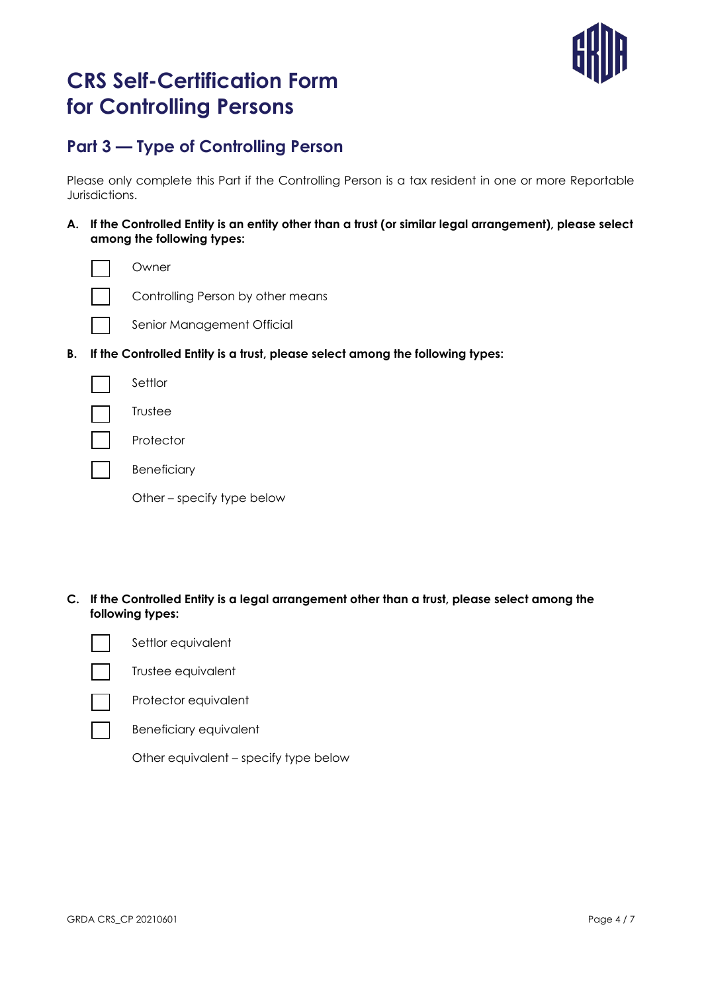

### **Part 3 — Type of Controlling Person**

Please only complete this Part if the Controlling Person is a tax resident in one or more Reportable Jurisdictions.

**A. If the Controlled Entity is an entity other than a trust (or similar legal arrangement), please select among the following types:**

Owner

Controlling Person by other means

Senior Management Official

**B. If the Controlled Entity is a trust, please select among the following types:**

| Settlor     |
|-------------|
| Trustee     |
| Protector   |
| Beneficiary |

Other – specify type below

**C. If the Controlled Entity is a legal arrangement other than a trust, please select among the following types:**



Settlor equivalent



Trustee equivalent



Protector equivalent



Beneficiary equivalent

Other equivalent – specify type below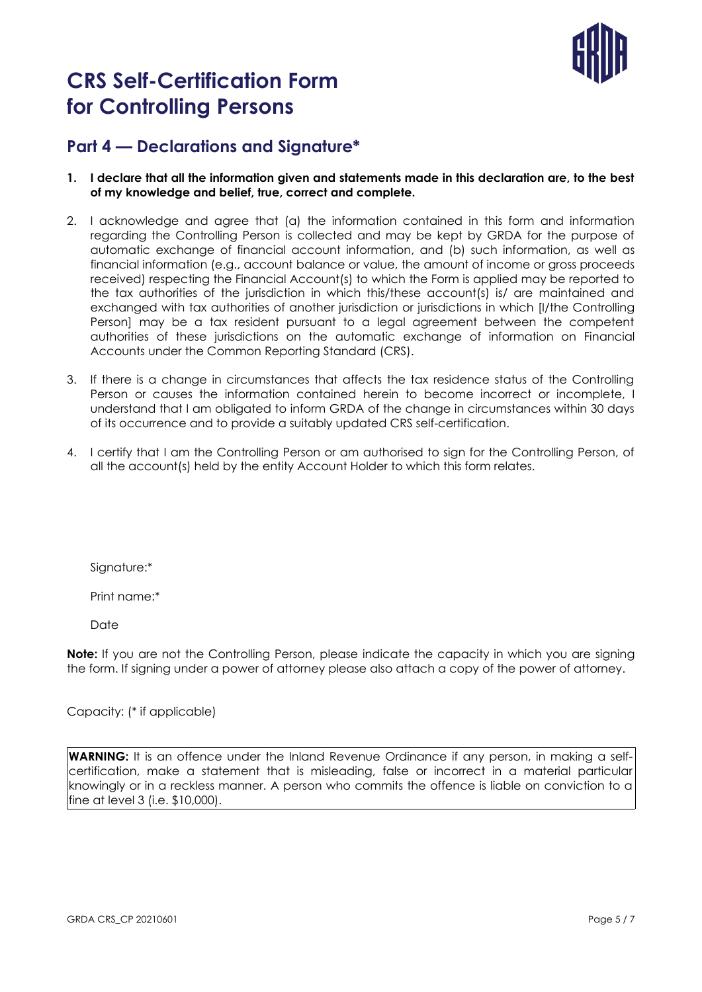

### **Part 4 — Declarations and Signature\***

- **1. I declare that all the information given and statements made in this declaration are, to the best of my knowledge and belief, true, correct and complete.**
- 2. I acknowledge and agree that (a) the information contained in this form and information regarding the Controlling Person is collected and may be kept by GRDA for the purpose of automatic exchange of financial account information, and (b) such information, as well as financial information (e.g., account balance or value, the amount of income or gross proceeds received) respecting the Financial Account(s) to which the Form is applied may be reported to the tax authorities of the jurisdiction in which this/these account(s) is/ are maintained and exchanged with tax authorities of another jurisdiction or jurisdictions in which [I/the Controlling Person] may be a tax resident pursuant to a legal agreement between the competent authorities of these jurisdictions on the automatic exchange of information on Financial Accounts under the Common Reporting Standard (CRS).
- 3. If there is a change in circumstances that affects the tax residence status of the Controlling Person or causes the information contained herein to become incorrect or incomplete, I understand that I am obligated to inform GRDA of the change in circumstances within 30 days of its occurrence and to provide a suitably updated CRS self-certification.
- 4. I certify that I am the Controlling Person or am authorised to sign for the Controlling Person, of all the account(s) held by the entity Account Holder to which this form relates.

Sianature:\*

Print name:\*

Date

**Note:** If you are not the Controlling Person, please indicate the capacity in which you are signing the form. If signing under a power of attorney please also attach a copy of the power of attorney.

Capacity: (\* if applicable)

**WARNING:** It is an offence under the Inland Revenue Ordinance if any person, in making a selfcertification, make a statement that is misleading, false or incorrect in a material particular knowingly or in a reckless manner. A person who commits the offence is liable on conviction to a fine at level 3 (i.e. \$10,000).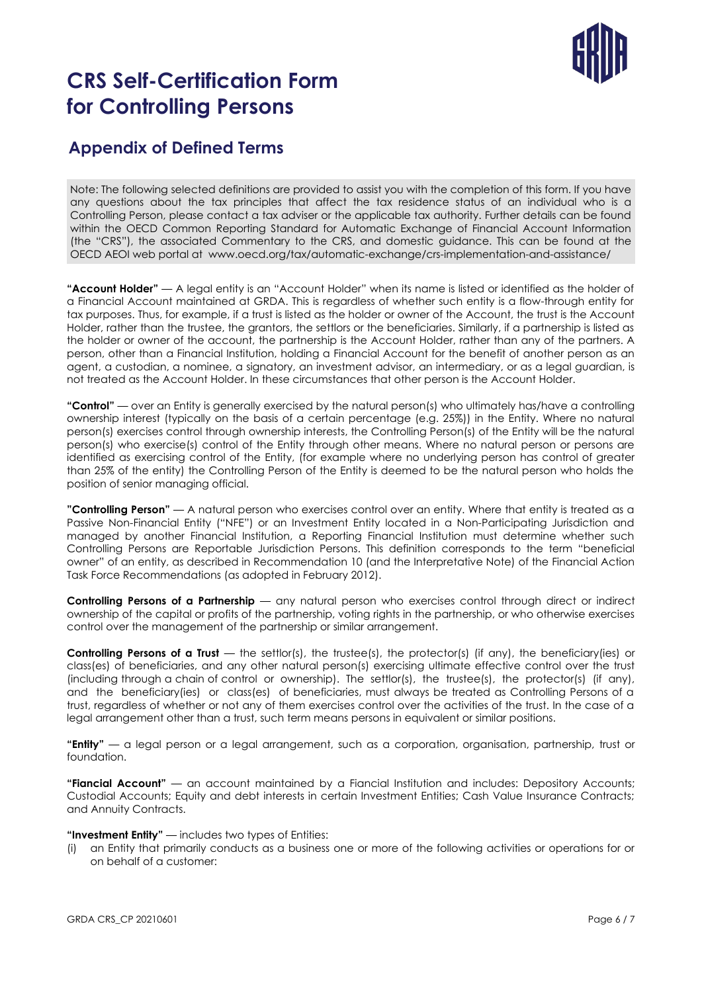

### **Appendix of Defined Terms**

Note: The following selected definitions are provided to assist you with the completion of this form. If you have any questions about the tax principles that affect the tax residence status of an individual who is a Controlling Person, please contact a tax adviser or the applicable tax authority. Further details can be found within the OECD Common Reporting Standard for Automatic Exchange of Financial Account Information (the "CRS"), the associated Commentary to the CRS, and domestic guidance. This can be found at the OECD AEOI web portal at www.oecd.org/tax/automatic-exchange/crs-implementation-and-assistance/

**"Account Holder"** — A legal entity is an "Account Holder" when its name is listed or identified as the holder of a Financial Account maintained at GRDA. This is regardless of whether such entity is a flow-through entity for tax purposes. Thus, for example, if a trust is listed as the holder or owner of the Account, the trust is the Account Holder, rather than the trustee, the grantors, the settlors or the beneficiaries. Similarly, if a partnership is listed as the holder or owner of the account, the partnership is the Account Holder, rather than any of the partners. A person, other than a Financial Institution, holding a Financial Account for the benefit of another person as an agent, a custodian, a nominee, a signatory, an investment advisor, an intermediary, or as a legal guardian, is not treated as the Account Holder. In these circumstances that other person is the Account Holder.

**"Control"** — over an Entity is generally exercised by the natural person(s) who ultimately has/have a controlling ownership interest (typically on the basis of a certain percentage (e.g. 25%)) in the Entity. Where no natural person(s) exercises control through ownership interests, the Controlling Person(s) of the Entity will be the natural person(s) who exercise(s) control of the Entity through other means. Where no natural person or persons are identified as exercising control of the Entity, (for example where no underlying person has control of greater than 25% of the entity) the Controlling Person of the Entity is deemed to be the natural person who holds the position of senior managing official.

**"Controlling Person"** — A natural person who exercises control over an entity. Where that entity is treated as a Passive Non-Financial Entity ("NFE") or an Investment Entity located in a Non-Participating Jurisdiction and managed by another Financial Institution, a Reporting Financial Institution must determine whether such Controlling Persons are Reportable Jurisdiction Persons. This definition corresponds to the term "beneficial owner" of an entity, as described in Recommendation 10 (and the Interpretative Note) of the Financial Action Task Force Recommendations (as adopted in February 2012).

**Controlling Persons of a Partnership** — any natural person who exercises control through direct or indirect ownership of the capital or profits of the partnership, voting rights in the partnership, or who otherwise exercises control over the management of the partnership or similar arrangement.

**Controlling Persons of a Trust** — the settlor(s), the trustee(s), the protector(s) (if any), the beneficiary(ies) or class(es) of beneficiaries, and any other natural person(s) exercising ultimate effective control over the trust (including through a chain of control or ownership). The settlor(s), the trustee(s), the protector(s) (if any), and the beneficiary(ies) or class(es) of beneficiaries, must always be treated as Controlling Persons of a trust, regardless of whether or not any of them exercises control over the activities of the trust. In the case of a legal arrangement other than a trust, such term means persons in equivalent or similar positions.

**"Entity"** — a legal person or a legal arrangement, such as a corporation, organisation, partnership, trust or foundation.

**"Fiancial Account"** — an account maintained by a Fiancial Institution and includes: Depository Accounts; Custodial Accounts; Equity and debt interests in certain Investment Entities; Cash Value Insurance Contracts; and Annuity Contracts.

#### **"Investment Entity"** — includes two types of Entities:

(i) an Entity that primarily conducts as a business one or more of the following activities or operations for or on behalf of a customer: